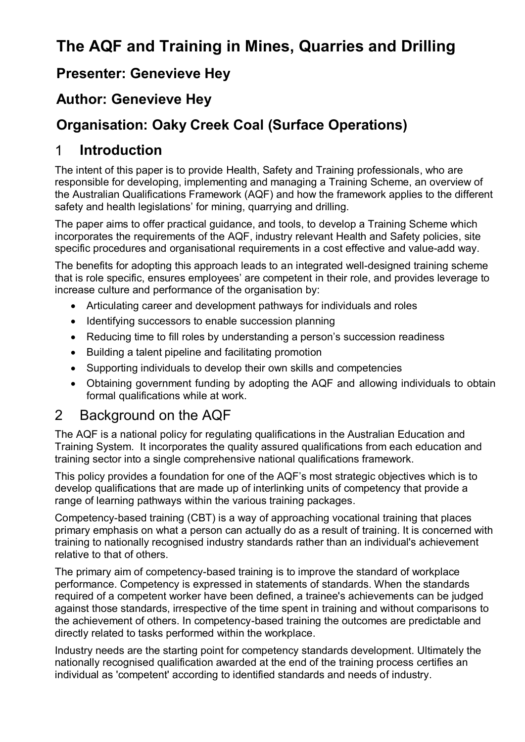# **The AQF and Training in Mines, Quarries and Drilling**

### **Presenter: Genevieve Hey**

### **Author: Genevieve Hey**

### **Organisation: Oaky Creek Coal (Surface Operations)**

### 1 **Introduction**

The intent of this paper is to provide Health, Safety and Training professionals, who are responsible for developing, implementing and managing a Training Scheme, an overview of the Australian Qualifications Framework (AQF) and how the framework applies to the different safety and health legislations' for mining, quarrying and drilling.

The paper aims to offer practical guidance, and tools, to develop a Training Scheme which incorporates the requirements of the AQF, industry relevant Health and Safety policies, site specific procedures and organisational requirements in a cost effective and value-add way.

The benefits for adopting this approach leads to an integrated well-designed training scheme that is role specific, ensures employees' are competent in their role, and provides leverage to increase culture and performance of the organisation by:

- Articulating career and development pathways for individuals and roles
- Identifying successors to enable succession planning
- Reducing time to fill roles by understanding a person's succession readiness
- Building a talent pipeline and facilitating promotion
- Supporting individuals to develop their own skills and competencies
- Obtaining government funding by adopting the AQF and allowing individuals to obtain formal qualifications while at work.

#### 2 Background on the AQF

The AQF is a national policy for regulating qualifications in the Australian Education and Training System. It incorporates the quality assured qualifications from each education and training sector into a single comprehensive national qualifications framework.

This policy provides a foundation for one of the AQF's most strategic objectives which is to develop qualifications that are made up of interlinking units of competency that provide a range of learning pathways within the various training packages.

Competency-based training (CBT) is a way of approaching vocational training that places primary emphasis on what a person can actually do as a result of training. It is concerned with training to nationally recognised industry standards rather than an individual's achievement relative to that of others.

The primary aim of competency-based training is to improve the standard of workplace performance. Competency is expressed in statements of standards. When the standards required of a competent worker have been defined, a trainee's achievements can be judged against those standards, irrespective of the time spent in training and without comparisons to the achievement of others. In competency-based training the outcomes are predictable and directly related to tasks performed within the workplace.

Industry needs are the starting point for competency standards development. Ultimately the nationally recognised qualification awarded at the end of the training process certifies an individual as 'competent' according to identified standards and needs of industry.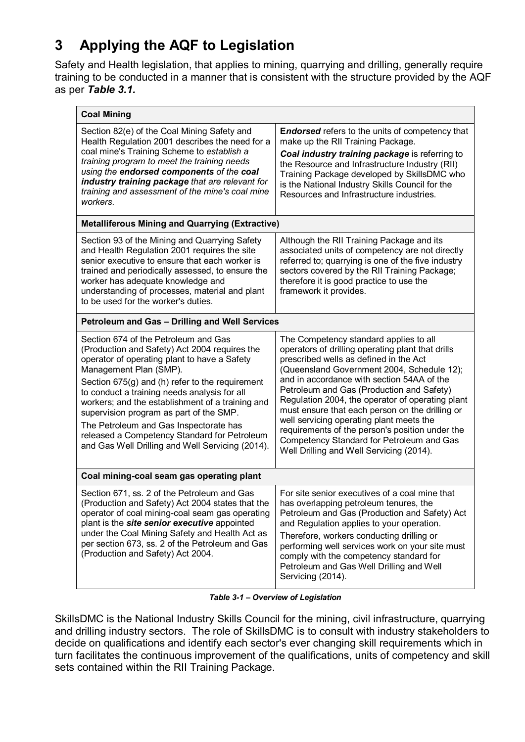# **3 Applying the AQF to Legislation**

Safety and Health legislation, that applies to mining, quarrying and drilling, generally require training to be conducted in a manner that is consistent with the structure provided by the AQF as per *Table 3.1.*

| <b>Coal Mining</b>                                                                                                                                                                                                                                                                                                                                                                                                                                                                                              |                                                                                                                                                                                                                                                                                                                                                                                                                                                                                                                                                                               |
|-----------------------------------------------------------------------------------------------------------------------------------------------------------------------------------------------------------------------------------------------------------------------------------------------------------------------------------------------------------------------------------------------------------------------------------------------------------------------------------------------------------------|-------------------------------------------------------------------------------------------------------------------------------------------------------------------------------------------------------------------------------------------------------------------------------------------------------------------------------------------------------------------------------------------------------------------------------------------------------------------------------------------------------------------------------------------------------------------------------|
| Section 82(e) of the Coal Mining Safety and<br>Health Regulation 2001 describes the need for a<br>coal mine's Training Scheme to establish a<br>training program to meet the training needs<br>using the endorsed components of the coal<br>industry training package that are relevant for<br>training and assessment of the mine's coal mine<br>workers.                                                                                                                                                      | <b>Endorsed</b> refers to the units of competency that<br>make up the RII Training Package.<br>Coal industry training package is referring to<br>the Resource and Infrastructure Industry (RII)<br>Training Package developed by SkillsDMC who<br>is the National Industry Skills Council for the<br>Resources and Infrastructure industries.                                                                                                                                                                                                                                 |
| <b>Metalliferous Mining and Quarrying (Extractive)</b>                                                                                                                                                                                                                                                                                                                                                                                                                                                          |                                                                                                                                                                                                                                                                                                                                                                                                                                                                                                                                                                               |
| Section 93 of the Mining and Quarrying Safety<br>and Health Regulation 2001 requires the site<br>senior executive to ensure that each worker is<br>trained and periodically assessed, to ensure the<br>worker has adequate knowledge and<br>understanding of processes, material and plant<br>to be used for the worker's duties.                                                                                                                                                                               | Although the RII Training Package and its<br>associated units of competency are not directly<br>referred to; quarrying is one of the five industry<br>sectors covered by the RII Training Package;<br>therefore it is good practice to use the<br>framework it provides.                                                                                                                                                                                                                                                                                                      |
| Petroleum and Gas - Drilling and Well Services                                                                                                                                                                                                                                                                                                                                                                                                                                                                  |                                                                                                                                                                                                                                                                                                                                                                                                                                                                                                                                                                               |
| Section 674 of the Petroleum and Gas<br>(Production and Safety) Act 2004 requires the<br>operator of operating plant to have a Safety<br>Management Plan (SMP).<br>Section 675(g) and (h) refer to the requirement<br>to conduct a training needs analysis for all<br>workers; and the establishment of a training and<br>supervision program as part of the SMP.<br>The Petroleum and Gas Inspectorate has<br>released a Competency Standard for Petroleum<br>and Gas Well Drilling and Well Servicing (2014). | The Competency standard applies to all<br>operators of drilling operating plant that drills<br>prescribed wells as defined in the Act<br>(Queensland Government 2004, Schedule 12);<br>and in accordance with section 54AA of the<br>Petroleum and Gas (Production and Safety)<br>Regulation 2004, the operator of operating plant<br>must ensure that each person on the drilling or<br>well servicing operating plant meets the<br>requirements of the person's position under the<br>Competency Standard for Petroleum and Gas<br>Well Drilling and Well Servicing (2014). |
| Coal mining-coal seam gas operating plant                                                                                                                                                                                                                                                                                                                                                                                                                                                                       |                                                                                                                                                                                                                                                                                                                                                                                                                                                                                                                                                                               |
| Section 671, ss. 2 of the Petroleum and Gas<br>(Production and Safety) Act 2004 states that the<br>operator of coal mining-coal seam gas operating<br>plant is the site senior executive appointed<br>under the Coal Mining Safety and Health Act as<br>per section 673, ss. 2 of the Petroleum and Gas<br>(Production and Safety) Act 2004.                                                                                                                                                                    | For site senior executives of a coal mine that<br>has overlapping petroleum tenures, the<br>Petroleum and Gas (Production and Safety) Act<br>and Regulation applies to your operation.<br>Therefore, workers conducting drilling or<br>performing well services work on your site must<br>comply with the competency standard for<br>Petroleum and Gas Well Drilling and Well<br>Servicing (2014).                                                                                                                                                                            |

*Table 3-1 – Overview of Legislation*

SkillsDMC is the National Industry Skills Council for the mining, civil infrastructure, quarrying and drilling industry sectors. The role of SkillsDMC is to consult with industry stakeholders to decide on qualifications and identify each sector's ever changing skill requirements which in turn facilitates the continuous improvement of the qualifications, units of competency and skill sets contained within the RII Training Package.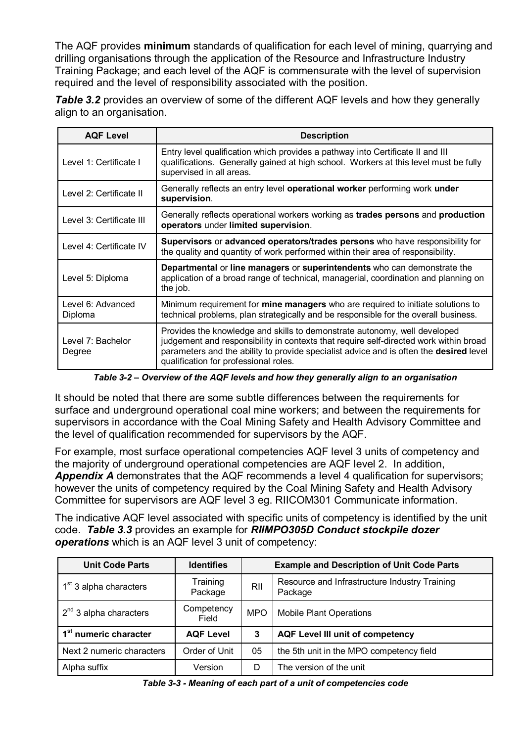The AQF provides **minimum** standards of qualification for each level of mining, quarrying and drilling organisations through the application of the Resource and Infrastructure Industry Training Package; and each level of the AQF is commensurate with the level of supervision required and the level of responsibility associated with the position.

**Table 3.2** provides an overview of some of the different AQF levels and how they generally align to an organisation.

| <b>AQF Level</b>             | <b>Description</b>                                                                                                                                                                                                                                                                                    |
|------------------------------|-------------------------------------------------------------------------------------------------------------------------------------------------------------------------------------------------------------------------------------------------------------------------------------------------------|
| Level 1: Certificate I       | Entry level qualification which provides a pathway into Certificate II and III<br>qualifications. Generally gained at high school. Workers at this level must be fully<br>supervised in all areas.                                                                                                    |
| Level 2: Certificate II      | Generally reflects an entry level operational worker performing work under<br>supervision.                                                                                                                                                                                                            |
| Level 3: Certificate III     | Generally reflects operational workers working as trades persons and production<br>operators under limited supervision.                                                                                                                                                                               |
| Level 4: Certificate IV      | Supervisors or advanced operators/trades persons who have responsibility for<br>the quality and quantity of work performed within their area of responsibility.                                                                                                                                       |
| Level 5: Diploma             | Departmental or line managers or superintendents who can demonstrate the<br>application of a broad range of technical, managerial, coordination and planning on<br>the job.                                                                                                                           |
| Level 6: Advanced<br>Diploma | Minimum requirement for mine managers who are required to initiate solutions to<br>technical problems, plan strategically and be responsible for the overall business.                                                                                                                                |
| Level 7: Bachelor<br>Degree  | Provides the knowledge and skills to demonstrate autonomy, well developed<br>judgement and responsibility in contexts that require self-directed work within broad<br>parameters and the ability to provide specialist advice and is often the desired level<br>qualification for professional roles. |

*Table 3-2 – Overview of the AQF levels and how they generally align to an organisation*

It should be noted that there are some subtle differences between the requirements for surface and underground operational coal mine workers; and between the requirements for supervisors in accordance with the Coal Mining Safety and Health Advisory Committee and the level of qualification recommended for supervisors by the AQF.

For example, most surface operational competencies AQF level 3 units of competency and the majority of underground operational competencies are AQF level 2. In addition, *Appendix A* demonstrates that the AQF recommends a level 4 qualification for supervisors; however the units of competency required by the Coal Mining Safety and Health Advisory Committee for supervisors are AQF level 3 eg. RIICOM301 Communicate information.

The indicative AQF level associated with specific units of competency is identified by the unit code. *Table 3.3* provides an example for *RIIMPO305D Conduct stockpile dozer operations* which is an AQF level 3 unit of competency:

| <b>Unit Code Parts</b>             | <b>Identifies</b>   | <b>Example and Description of Unit Code Parts</b> |                                                          |  |
|------------------------------------|---------------------|---------------------------------------------------|----------------------------------------------------------|--|
| 1 <sup>st</sup> 3 alpha characters | Training<br>Package | RII                                               | Resource and Infrastructure Industry Training<br>Package |  |
| $2^{nd}$ 3 alpha characters        | Competency<br>Field | <b>MPO</b>                                        | <b>Mobile Plant Operations</b>                           |  |
| 1 <sup>st</sup> numeric character  | <b>AQF Level</b>    | 3                                                 | <b>AQF Level III unit of competency</b>                  |  |
| Next 2 numeric characters          | Order of Unit       | 05                                                | the 5th unit in the MPO competency field                 |  |
| Alpha suffix                       | Version             | D                                                 | The version of the unit                                  |  |

*Table 3-3 - Meaning of each part of a unit of competencies code*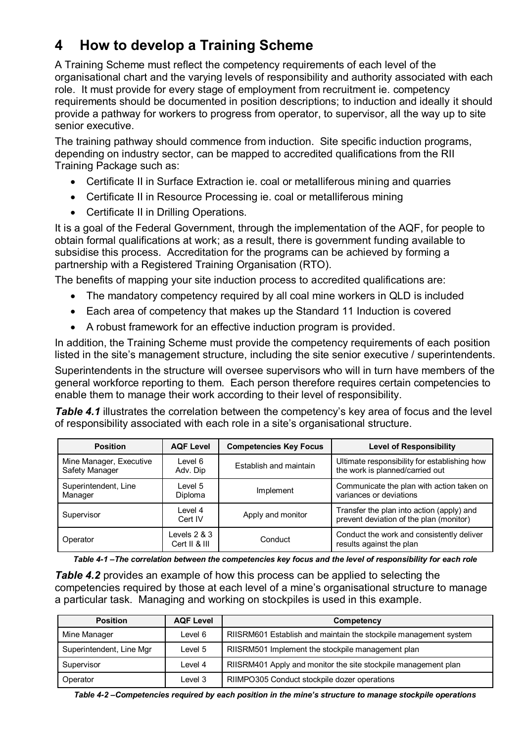## **4 How to develop a Training Scheme**

A Training Scheme must reflect the competency requirements of each level of the organisational chart and the varying levels of responsibility and authority associated with each role. It must provide for every stage of employment from recruitment ie. competency requirements should be documented in position descriptions; to induction and ideally it should provide a pathway for workers to progress from operator, to supervisor, all the way up to site senior executive.

The training pathway should commence from induction. Site specific induction programs, depending on industry sector, can be mapped to accredited qualifications from the RII Training Package such as:

- Certificate II in Surface Extraction ie. coal or metalliferous mining and quarries
- Certificate II in Resource Processing ie. coal or metalliferous mining
- Certificate II in Drilling Operations.

It is a goal of the Federal Government, through the implementation of the AQF, for people to obtain formal qualifications at work; as a result, there is government funding available to subsidise this process. Accreditation for the programs can be achieved by forming a partnership with a Registered Training Organisation (RTO).

The benefits of mapping your site induction process to accredited qualifications are:

- The mandatory competency required by all coal mine workers in QLD is included
- Each area of competency that makes up the Standard 11 Induction is covered
- A robust framework for an effective induction program is provided.

In addition, the Training Scheme must provide the competency requirements of each position listed in the site's management structure, including the site senior executive / superintendents.

Superintendents in the structure will oversee supervisors who will in turn have members of the general workforce reporting to them. Each person therefore requires certain competencies to enable them to manage their work according to their level of responsibility.

**Table 4.1** illustrates the correlation between the competency's key area of focus and the level of responsibility associated with each role in a site's organisational structure.

| <b>Position</b>                           | <b>AQF Level</b>                | <b>Competencies Key Focus</b> | <b>Level of Responsibility</b>                                                       |
|-------------------------------------------|---------------------------------|-------------------------------|--------------------------------------------------------------------------------------|
| Mine Manager, Executive<br>Safety Manager | Level 6<br>Adv. Dip             | Establish and maintain        | Ultimate responsibility for establishing how<br>the work is planned/carried out      |
| Superintendent, Line<br>Manager           | Level 5<br>Diploma              | Implement                     | Communicate the plan with action taken on<br>variances or deviations                 |
| Supervisor                                | Level 4<br>Cert IV              | Apply and monitor             | Transfer the plan into action (apply) and<br>prevent deviation of the plan (monitor) |
| Operator                                  | Levels $2 & 3$<br>Cert II & III | Conduct                       | Conduct the work and consistently deliver<br>results against the plan                |

*Table 4-1 –The correlation between the competencies key focus and the level of responsibility for each role*

*Table 4.2* provides an example of how this process can be applied to selecting the competencies required by those at each level of a mine's organisational structure to manage a particular task. Managing and working on stockpiles is used in this example.

| <b>Position</b>          | <b>AQF Level</b> | Competency                                                       |
|--------------------------|------------------|------------------------------------------------------------------|
| Mine Manager             | Level 6          | RIISRM601 Establish and maintain the stockpile management system |
| Superintendent, Line Mgr | Level 5          | RIISRM501 Implement the stockpile management plan                |
| Supervisor               | Level 4          | RIISRM401 Apply and monitor the site stockpile management plan   |
| Operator                 | Level 3          | RIIMPO305 Conduct stockpile dozer operations                     |

*Table 4-2 –Competencies required by each position in the mine's structure to manage stockpile operations*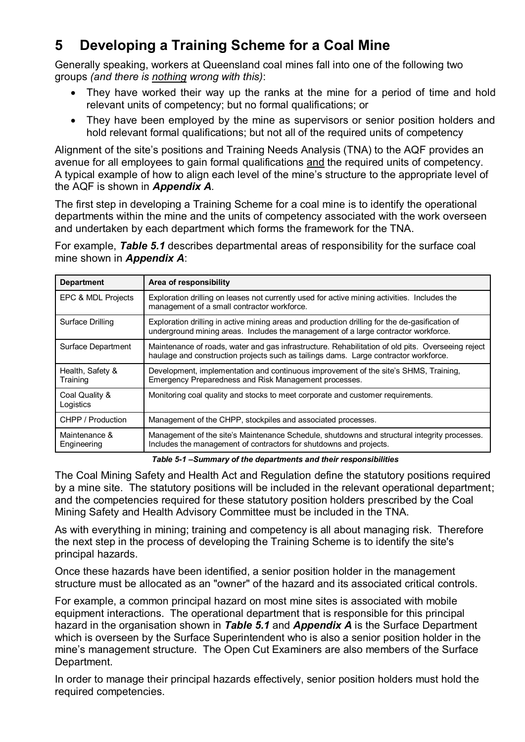## **5 Developing a Training Scheme for a Coal Mine**

Generally speaking, workers at Queensland coal mines fall into one of the following two groups *(and there is nothing wrong with this)*:

- They have worked their way up the ranks at the mine for a period of time and hold relevant units of competency; but no formal qualifications; or
- They have been employed by the mine as supervisors or senior position holders and hold relevant formal qualifications; but not all of the required units of competency

Alignment of the site's positions and Training Needs Analysis (TNA) to the AQF provides an avenue for all employees to gain formal qualifications and the required units of competency. A typical example of how to align each level of the mine's structure to the appropriate level of the AQF is shown in *Appendix A.*

The first step in developing a Training Scheme for a coal mine is to identify the operational departments within the mine and the units of competency associated with the work overseen and undertaken by each department which forms the framework for the TNA.

For example, *Table 5.1* describes departmental areas of responsibility for the surface coal mine shown in *Appendix A*:

| <b>Department</b>            | Area of responsibility                                                                                                                                                                    |
|------------------------------|-------------------------------------------------------------------------------------------------------------------------------------------------------------------------------------------|
| EPC & MDL Projects           | Exploration drilling on leases not currently used for active mining activities. Includes the<br>management of a small contractor workforce.                                               |
| Surface Drilling             | Exploration drilling in active mining areas and production drilling for the de-gasification of<br>underground mining areas. Includes the management of a large contractor workforce.      |
| Surface Department           | Maintenance of roads, water and gas infrastructure. Rehabilitation of old pits. Overseeing reject<br>haulage and construction projects such as tailings dams. Large contractor workforce. |
| Health, Safety &<br>Training | Development, implementation and continuous improvement of the site's SHMS, Training,<br>Emergency Preparedness and Risk Management processes.                                             |
| Coal Quality &<br>Logistics  | Monitoring coal quality and stocks to meet corporate and customer requirements.                                                                                                           |
| CHPP / Production            | Management of the CHPP, stockpiles and associated processes.                                                                                                                              |
| Maintenance &<br>Engineering | Management of the site's Maintenance Schedule, shutdowns and structural integrity processes.<br>Includes the management of contractors for shutdowns and projects.                        |

*Table 5-1 –Summary of the departments and their responsibilities*

The Coal Mining Safety and Health Act and Regulation define the statutory positions required by a mine site. The statutory positions will be included in the relevant operational department; and the competencies required for these statutory position holders prescribed by the Coal Mining Safety and Health Advisory Committee must be included in the TNA.

As with everything in mining; training and competency is all about managing risk. Therefore the next step in the process of developing the Training Scheme is to identify the site's principal hazards.

Once these hazards have been identified, a senior position holder in the management structure must be allocated as an "owner" of the hazard and its associated critical controls.

For example, a common principal hazard on most mine sites is associated with mobile equipment interactions. The operational department that is responsible for this principal hazard in the organisation shown in *Table 5.1* and *Appendix A* is the Surface Department which is overseen by the Surface Superintendent who is also a senior position holder in the mine's management structure. The Open Cut Examiners are also members of the Surface Department.

In order to manage their principal hazards effectively, senior position holders must hold the required competencies.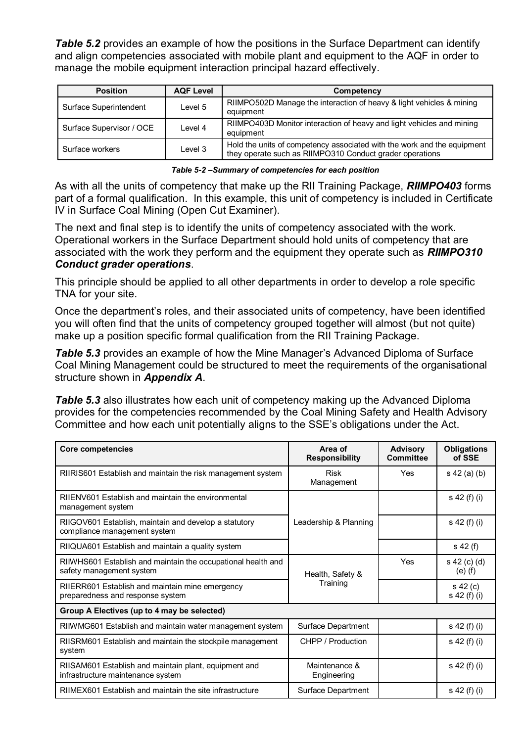*Table* 5.2 provides an example of how the positions in the Surface Department can identify and align competencies associated with mobile plant and equipment to the AQF in order to manage the mobile equipment interaction principal hazard effectively.

| <b>Position</b>          | <b>AQF Level</b> | Competency                                                                                                                          |
|--------------------------|------------------|-------------------------------------------------------------------------------------------------------------------------------------|
| Surface Superintendent   | Level 5          | RIIMPO502D Manage the interaction of heavy & light vehicles & mining<br>equipment                                                   |
| Surface Supervisor / OCE | Level 4          | RIIMPO403D Monitor interaction of heavy and light vehicles and mining<br>equipment                                                  |
| Surface workers          | Level 3          | Hold the units of competency associated with the work and the equipment<br>they operate such as RIIMPO310 Conduct grader operations |

*Table 5-2 –Summary of competencies for each position*

As with all the units of competency that make up the RII Training Package, *RIIMPO403* forms part of a formal qualification. In this example, this unit of competency is included in Certificate IV in Surface Coal Mining (Open Cut Examiner).

The next and final step is to identify the units of competency associated with the work. Operational workers in the Surface Department should hold units of competency that are associated with the work they perform and the equipment they operate such as *RIIMPO310 Conduct grader operations*.

This principle should be applied to all other departments in order to develop a role specific TNA for your site.

Once the department's roles, and their associated units of competency, have been identified you will often find that the units of competency grouped together will almost (but not quite) make up a position specific formal qualification from the RII Training Package.

*Table 5.3* provides an example of how the Mine Manager's Advanced Diploma of Surface Coal Mining Management could be structured to meet the requirements of the organisational structure shown in *Appendix A*.

*Table 5.3* also illustrates how each unit of competency making up the Advanced Diploma provides for the competencies recommended by the Coal Mining Safety and Health Advisory Committee and how each unit potentially aligns to the SSE's obligations under the Act.

| <b>Core competencies</b>                                                                   | Area of<br><b>Responsibility</b> | <b>Advisory</b><br><b>Committee</b> | <b>Obligations</b><br>of SSE |
|--------------------------------------------------------------------------------------------|----------------------------------|-------------------------------------|------------------------------|
| RIIRIS601 Establish and maintain the risk management system                                | <b>Risk</b><br>Management        | Yes                                 | s 42 (a) (b)                 |
| RIIENV601 Establish and maintain the environmental<br>management system                    |                                  |                                     | s 42 (f) (i)                 |
| RIIGOV601 Establish, maintain and develop a statutory<br>compliance management system      | Leadership & Planning            |                                     | s 42 (f) (i)                 |
| RIIQUA601 Establish and maintain a quality system                                          |                                  |                                     | s 42 (f)                     |
| RIIWHS601 Establish and maintain the occupational health and<br>safety management system   | Health, Safety &                 |                                     | s 42 (c) (d)<br>$(e)$ (f)    |
| RIIERR601 Establish and maintain mine emergency<br>preparedness and response system        | Training                         |                                     | $s$ 42 (c)<br>s 42 (f) (i)   |
| Group A Electives (up to 4 may be selected)                                                |                                  |                                     |                              |
| RIIWMG601 Establish and maintain water management system                                   | Surface Department               |                                     | s 42 (f) (i)                 |
| RIISRM601 Establish and maintain the stockpile management<br>system                        | CHPP / Production                |                                     | s 42 (f) (i)                 |
| RIISAM601 Establish and maintain plant, equipment and<br>infrastructure maintenance system | Maintenance &<br>Engineering     |                                     | s 42 (f) (i)                 |
| RIIMEX601 Establish and maintain the site infrastructure                                   | Surface Department               |                                     | s 42 (f) (i)                 |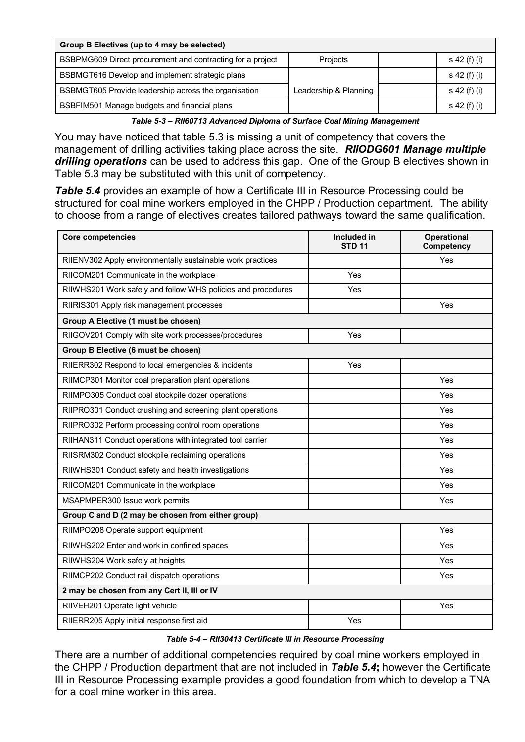| Group B Electives (up to 4 may be selected)                |                       |  |              |  |
|------------------------------------------------------------|-----------------------|--|--------------|--|
| BSBPMG609 Direct procurement and contracting for a project | Projects              |  | s 42 (f) (i) |  |
| BSBMGT616 Develop and implement strategic plans            |                       |  | s 42 (f) (i) |  |
| BSBMGT605 Provide leadership across the organisation       | Leadership & Planning |  | s 42 (f) (i) |  |
| BSBFIM501 Manage budgets and financial plans               |                       |  | s 42 (f) (i) |  |

*Table 5-3 – RII60713 Advanced Diploma of Surface Coal Mining Management* 

You may have noticed that table 5.3 is missing a unit of competency that covers the management of drilling activities taking place across the site. *RIIODG601 Manage multiple drilling operations* can be used to address this gap. One of the Group B electives shown in Table 5.3 may be substituted with this unit of competency.

*Table 5.4* provides an example of how a Certificate III in Resource Processing could be structured for coal mine workers employed in the CHPP / Production department. The ability to choose from a range of electives creates tailored pathways toward the same qualification.

| <b>Core competencies</b>                                     | Included in<br><b>STD 11</b> | Operational<br>Competency |
|--------------------------------------------------------------|------------------------------|---------------------------|
| RIIENV302 Apply environmentally sustainable work practices   |                              | Yes                       |
| RIICOM201 Communicate in the workplace                       | Yes                          |                           |
| RIIWHS201 Work safely and follow WHS policies and procedures | Yes                          |                           |
| RIIRIS301 Apply risk management processes                    |                              | Yes                       |
| Group A Elective (1 must be chosen)                          |                              |                           |
| RIIGOV201 Comply with site work processes/procedures         | Yes                          |                           |
| Group B Elective (6 must be chosen)                          |                              |                           |
| RIIERR302 Respond to local emergencies & incidents           | Yes                          |                           |
| RIIMCP301 Monitor coal preparation plant operations          |                              | Yes                       |
| RIIMPO305 Conduct coal stockpile dozer operations            |                              | Yes                       |
| RIIPRO301 Conduct crushing and screening plant operations    |                              | Yes                       |
| RIIPRO302 Perform processing control room operations         |                              | Yes                       |
| RIIHAN311 Conduct operations with integrated tool carrier    |                              | Yes                       |
| RIISRM302 Conduct stockpile reclaiming operations            |                              | Yes                       |
| RIIWHS301 Conduct safety and health investigations           |                              | Yes                       |
| RIICOM201 Communicate in the workplace                       |                              | Yes                       |
| MSAPMPER300 Issue work permits                               |                              | Yes                       |
| Group C and D (2 may be chosen from either group)            |                              |                           |
| RIIMPO208 Operate support equipment                          |                              | Yes                       |
| RIIWHS202 Enter and work in confined spaces                  |                              | Yes                       |
| RIIWHS204 Work safely at heights                             |                              | Yes                       |
| RIIMCP202 Conduct rail dispatch operations                   |                              | Yes                       |
| 2 may be chosen from any Cert II, III or IV                  |                              |                           |
| RIIVEH201 Operate light vehicle                              |                              | Yes                       |
| RIIERR205 Apply initial response first aid                   | Yes                          |                           |

*Table 5-4 – RII30413 Certificate III in Resource Processing*

There are a number of additional competencies required by coal mine workers employed in the CHPP / Production department that are not included in *Table 5.4***;** however the Certificate III in Resource Processing example provides a good foundation from which to develop a TNA for a coal mine worker in this area.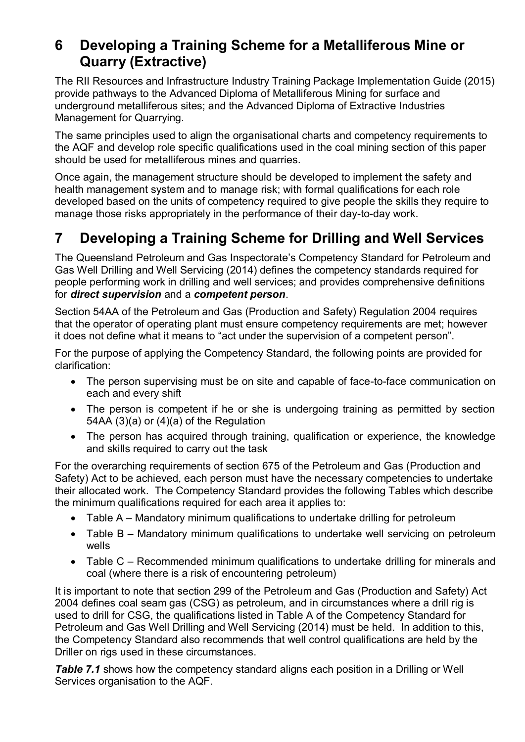### **6 Developing a Training Scheme for a Metalliferous Mine or Quarry (Extractive)**

The RII Resources and Infrastructure Industry Training Package Implementation Guide (2015) provide pathways to the Advanced Diploma of Metalliferous Mining for surface and underground metalliferous sites; and the Advanced Diploma of Extractive Industries Management for Quarrying.

The same principles used to align the organisational charts and competency requirements to the AQF and develop role specific qualifications used in the coal mining section of this paper should be used for metalliferous mines and quarries.

Once again, the management structure should be developed to implement the safety and health management system and to manage risk; with formal qualifications for each role developed based on the units of competency required to give people the skills they require to manage those risks appropriately in the performance of their day-to-day work.

# **7 Developing a Training Scheme for Drilling and Well Services**

The Queensland Petroleum and Gas Inspectorate's Competency Standard for Petroleum and Gas Well Drilling and Well Servicing (2014) defines the competency standards required for people performing work in drilling and well services; and provides comprehensive definitions for *direct supervision* and a *competent person*.

Section 54AA of the Petroleum and Gas (Production and Safety) Regulation 2004 requires that the operator of operating plant must ensure competency requirements are met; however it does not define what it means to "act under the supervision of a competent person".

For the purpose of applying the Competency Standard, the following points are provided for clarification:

- The person supervising must be on site and capable of face-to-face communication on each and every shift
- The person is competent if he or she is undergoing training as permitted by section 54AA (3)(a) or (4)(a) of the Regulation
- The person has acquired through training, qualification or experience, the knowledge and skills required to carry out the task

For the overarching requirements of section 675 of the Petroleum and Gas (Production and Safety) Act to be achieved, each person must have the necessary competencies to undertake their allocated work. The Competency Standard provides the following Tables which describe the minimum qualifications required for each area it applies to:

- Table A Mandatory minimum qualifications to undertake drilling for petroleum
- Table B Mandatory minimum qualifications to undertake well servicing on petroleum wells
- Table C Recommended minimum qualifications to undertake drilling for minerals and coal (where there is a risk of encountering petroleum)

It is important to note that section 299 of the Petroleum and Gas (Production and Safety) Act 2004 defines coal seam gas (CSG) as petroleum, and in circumstances where a drill rig is used to drill for CSG, the qualifications listed in Table A of the Competency Standard for Petroleum and Gas Well Drilling and Well Servicing (2014) must be held. In addition to this, the Competency Standard also recommends that well control qualifications are held by the Driller on rigs used in these circumstances.

**Table 7.1** shows how the competency standard aligns each position in a Drilling or Well Services organisation to the AQF.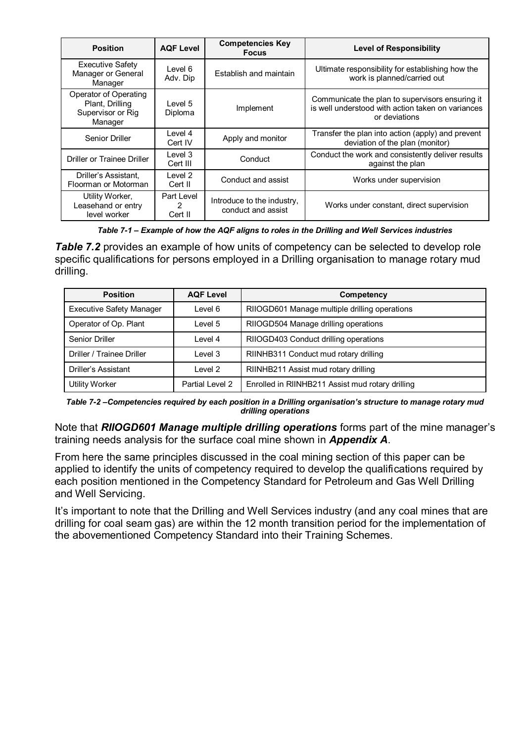| <b>Position</b>                                                          | <b>AQF Level</b>           | <b>Competencies Key</b><br><b>Focus</b>          | <b>Level of Responsibility</b>                                                                                        |
|--------------------------------------------------------------------------|----------------------------|--------------------------------------------------|-----------------------------------------------------------------------------------------------------------------------|
| <b>Executive Safety</b><br>Manager or General<br>Manager                 | Level 6<br>Adv. Dip        | Establish and maintain                           | Ultimate responsibility for establishing how the<br>work is planned/carried out                                       |
| Operator of Operating<br>Plant, Drilling<br>Supervisor or Rig<br>Manager | Level 5<br>Diploma         | Implement                                        | Communicate the plan to supervisors ensuring it<br>is well understood with action taken on variances<br>or deviations |
| Senior Driller                                                           | Level 4<br>Cert IV         | Apply and monitor                                | Transfer the plan into action (apply) and prevent<br>deviation of the plan (monitor)                                  |
| Driller or Trainee Driller                                               | Level 3<br>Cert III        | Conduct                                          | Conduct the work and consistently deliver results<br>against the plan                                                 |
| Driller's Assistant,<br>Floorman or Motorman                             | Level 2<br>Cert II         | Conduct and assist                               | Works under supervision                                                                                               |
| Utility Worker,<br>Leasehand or entry<br>level worker                    | Part Level<br>2<br>Cert II | Introduce to the industry,<br>conduct and assist | Works under constant, direct supervision                                                                              |

*Table 7-1 – Example of how the AQF aligns to roles in the Drilling and Well Services industries*

**Table 7.2** provides an example of how units of competency can be selected to develop role specific qualifications for persons employed in a Drilling organisation to manage rotary mud drilling.

| <b>Position</b>                 | <b>AQF Level</b> | Competency                                       |
|---------------------------------|------------------|--------------------------------------------------|
| <b>Executive Safety Manager</b> | Level 6          | RIIOGD601 Manage multiple drilling operations    |
| Operator of Op. Plant           | Level 5          | RIIOGD504 Manage drilling operations             |
| Senior Driller                  | Level 4          | RIIOGD403 Conduct drilling operations            |
| Driller / Trainee Driller       | Level 3          | RIINHB311 Conduct mud rotary drilling            |
| Driller's Assistant             | Level 2          | RIINHB211 Assist mud rotary drilling             |
| <b>Utility Worker</b>           | Partial Level 2  | Enrolled in RIINHB211 Assist mud rotary drilling |

*Table 7-2 –Competencies required by each position in a Drilling organisation's structure to manage rotary mud drilling operations*

Note that *RIIOGD601 Manage multiple drilling operations* forms part of the mine manager's training needs analysis for the surface coal mine shown in *Appendix A*.

From here the same principles discussed in the coal mining section of this paper can be applied to identify the units of competency required to develop the qualifications required by each position mentioned in the Competency Standard for Petroleum and Gas Well Drilling and Well Servicing.

It's important to note that the Drilling and Well Services industry (and any coal mines that are drilling for coal seam gas) are within the 12 month transition period for the implementation of the abovementioned Competency Standard into their Training Schemes.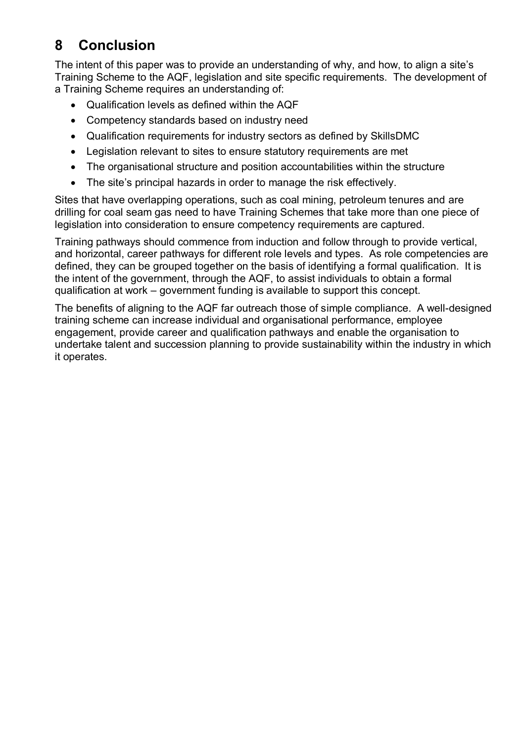# **8 Conclusion**

The intent of this paper was to provide an understanding of why, and how, to align a site's Training Scheme to the AQF, legislation and site specific requirements. The development of a Training Scheme requires an understanding of:

- Qualification levels as defined within the AQF
- Competency standards based on industry need
- Qualification requirements for industry sectors as defined by SkillsDMC
- Legislation relevant to sites to ensure statutory requirements are met
- The organisational structure and position accountabilities within the structure
- The site's principal hazards in order to manage the risk effectively.

Sites that have overlapping operations, such as coal mining, petroleum tenures and are drilling for coal seam gas need to have Training Schemes that take more than one piece of legislation into consideration to ensure competency requirements are captured.

Training pathways should commence from induction and follow through to provide vertical, and horizontal, career pathways for different role levels and types. As role competencies are defined, they can be grouped together on the basis of identifying a formal qualification. It is the intent of the government, through the AQF, to assist individuals to obtain a formal qualification at work – government funding is available to support this concept.

The benefits of aligning to the AQF far outreach those of simple compliance. A well-designed training scheme can increase individual and organisational performance, employee engagement, provide career and qualification pathways and enable the organisation to undertake talent and succession planning to provide sustainability within the industry in which it operates.